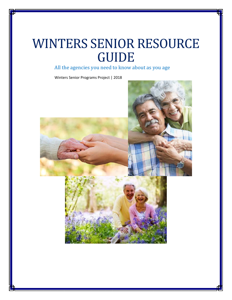# WINTERS SENIOR RESOURCE GUIDE

All the agencies you need to know about as you age

Winters Senior Programs Project | 2018

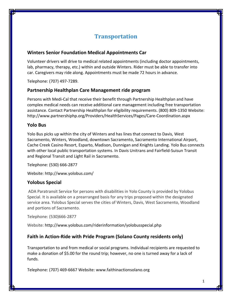# **Transportation**

# **Winters Senior Foundation Medical Appointments Car**

Volunteer drivers will drive to medical related appointments (including doctor appointments, lab, pharmacy, therapy, etc.) within and outside Winters. Rider must be able to transfer into car. Caregivers may ride along. Appointments must be made 72 hours in advance.

Telephone: (707) 497‐7289.

# **Partnership Healthplan Care Management ride program**

Persons with Medi‐Cal that receive their benefit through Partnership Healthplan and have complex medical needs can receive additional care management including free transportation assistance. Contact Partnership Healthplan for eligibility requirements. (800) 809‐1350 Website: http://www.partnershiphp.org/Providers/HealthServices/Pages/Care‐Coordination.aspx

### **Yolo Bus**

Yolo Bus picks up within the city of Winters and has lines that connect to Davis, West Sacramento, Winters, Woodland, downtown Sacramento, Sacramento International Airport, Cache Creek Casino Resort, Esparto, Madison, Dunnigan and Knights Landing. Yolo Bus connects with other local public transportation systems. In Davis Unitrans and Fairfield‐Suisun Transit and Regional Transit and Light Rail in Sacramento.

Telephone: (530) 666‐2877

Website: http://www.yolobus.com/

# **Yolobus Special**

ADA Paratransit Service for persons with disabilities in Yolo County is provided by Yolobus Special. It is available on a prearranged basis for any trips proposed within the designated service area. Yolobus Special serves the cities of Winters, Davis, West Sacramento, Woodland and portions of Sacramento.

Telephone: (530)666‐2877

Website: http://www.yolobus.com/riderinformation/yolobusspecial.php

# **Faith in Action‐Ride with Pride Program (Solano County residents only)**

Transportation to and from medical or social programs. Individual recipients are requested to make a donation of \$5.00 for the round trip; however, no one is turned away for a lack of funds.

Telephone: (707) 469‐6667 Website: www.faithinactionsolano.org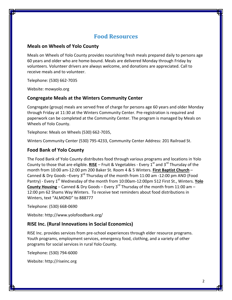# **Food Resources**

#### **Meals on Wheels of Yolo County**

Meals on Wheels of Yolo County provides nourishing fresh meals prepared daily to persons age 60 years and older who are home‐bound. Meals are delivered Monday through Friday by volunteers. Volunteer drivers are always welcome, and donations are appreciated. Call to receive meals and to volunteer.

Telephone: (530) 662‐7035

Website: mowyolo.org

#### **Congregate Meals at the Winters Community Center**

Congregate (group) meals are served free of charge for persons age 60 years and older Monday through Friday at 11:30 at the Winters Community Center. Pre‐registration is required and paperwork can be completed at the Community Center. The program is managed by Meals on Wheels of Yolo County.

Telephone: Meals on Wheels (530) 662‐7035,

Winters Community Center (530) 795‐4233, Community Center Address: 201 Railroad St.

#### **Food Bank of Yolo County**

The Food Bank of Yolo County distributes food through various programs and locations in Yolo County to those that are eligible. **RISE** – Fruit & Vegetables - Every 1<sup>st</sup> and 3<sup>rd</sup> Thursday of the month from 10:00 am‐12:00 pm 200 Baker St. Room 4 & 5 Winters. **First Baptist Church** – Canned & Dry Goods –Every 3<sup>rd</sup> Thursday of the month from 11:00 am -12:00 pm AND (Food Pantry) - Every 1<sup>st</sup> Wednesday of the month from 10:00am-12:00pm 512 First St., Winters. Yolo **County Housing** – Canned & Dry Goods – Every 3rd Thursday of the month from 11:00 am – 12:00 pm 62 Shams Way Winters. To receive text reminders about food distributions in Winters, text "ALMOND" to 888777

Telephone: (530) 668‐0690

Website: http://www.yolofoodbank.org/

#### **RISE Inc. (Rural Innovations in Social Economics)**

RISE Inc. provides services from pre‐school experiences through elder resource programs. Youth programs, employment services, emergency food, clothing, and a variety of other programs for social services in rural Yolo County.

Telephone: (530) 794‐6000

Website: http://riseinc.org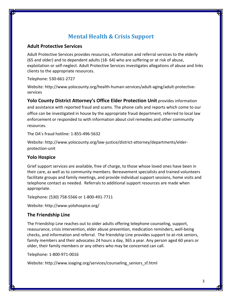# **Mental Health & Crisis Support**

### **Adult Protective Services**

Adult Protective Services provides resources, information and referral services to the elderly (65 and older) and to dependent adults (18‐ 64) who are suffering or at risk of abuse, exploitation or self-neglect. Adult Protective Services investigates allegations of abuse and links clients to the appropriate resources.

Telephone: 530‐661‐2727

Website: http://www.yolocounty.org/health‐human‐services/adult‐aging/adult‐protective‐ services

**Yolo County District Attorney's Office Elder Protection Unit** provides information and assistance with reported fraud and scams. The phone calls and reports which come to our office can be investigated in house by the appropriate fraud department, referred to local law enforcement or responded to with information about civil remedies and other community resources.

The DA's fraud hotline: 1‐855‐496‐5632

Website: http://www.yolocounty.org/law‐justice/district‐attorney/departments/elder‐ protection‐unit

# **Yolo Hospice**

Grief support services are available, free of charge, to those whose loved ones have been in their care, as well as to community members. Bereavement specialists and trained volunteers facilitate groups and family meetings, and provide individual support sessions, home visits and telephone contact as needed. Referrals to additional support resources are made when appropriate.

Telephone: (530) 758‐5566 or 1‐800‐491‐7711

Website: http://www.yolohospice.org/

# **The Friendship Line**

The Friendship Line reaches out to older adults offering telephone counseling, support, reassurance, crisis intervention, elder abuse prevention, medication reminders, well‐being checks, and information and referral. The friendship Line provides support to at‐risk seniors, family members and their advocates 24 hours a day, 365 a year. Any person aged 60 years or older, their family members or any others who may be concerned can call.

Telephone: 1‐800‐971‐0016

Website: http://www.ioaging.org/services/counseling\_seniors\_sf.html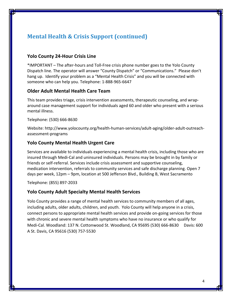# **Mental Health & Crisis Support (continued)**

#### **Yolo County 24‐Hour Crisis Line**

\*IMPORTANT – The after‐hours and Toll‐Free crisis phone number goes to the Yolo County Dispatch line. The operator will answer "County Dispatch" or "Communications." Please don't hang up. Identify your problem as a "Mental Health Crisis" and you will be connected with someone who can help you. Telephone: 1‐888‐965‐6647

#### **Older Adult Mental Health Care Team**

This team provides triage, crisis intervention assessments, therapeutic counseling, and wrap‐ around case management support for individuals aged 60 and older who present with a serious mental illness.

Telephone: (530) 666‐8630

Website: http://www.yolocounty.org/health‐human‐services/adult‐aging/older‐adult‐outreach‐ assessment‐programs

#### **Yolo County Mental Health Urgent Care**

Services are available to individuals experiencing a mental health crisis, including those who are insured through Medi‐Cal and uninsured individuals. Persons may be brought in by family or friends or self‐referral. Services include crisis assessment and supportive counseling, medication intervention, referrals to community services and safe discharge planning. Open 7 days per week, 12pm – 9pm, location at 500 Jefferson Blvd., Building B, West Sacramento

Telephone: (855) 897‐2033

#### **Yolo County Adult Specialty Mental Health Services**

Yolo County provides a range of mental health services to community members of all ages, including adults, older adults, children, and youth. Yolo County will help anyone in a crisis, connect persons to appropriate mental health services and provide on‐going services for those with chronic and severe mental health symptoms who have no insurance or who qualify for Medi‐Cal. Woodland: 137 N. Cottonwood St. Woodland, CA 95695 (530) 666‐8630 Davis: 600 A St. Davis, CA 95616 (530) 757‐5530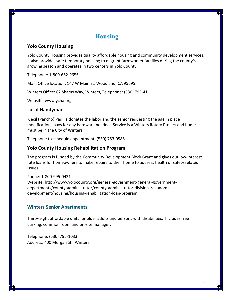# **Housing**

### **Yolo County Housing**

Yolo County Housing provides quality affordable housing and community development services. It also provides safe temporary housing to migrant farmworker families during the county's growing season and operates in two centers in Yolo County.

Telephone: 1‐800‐662‐9656

Main Office location: 147 W Main St, Woodland, CA 95695

Winters Office: 62 Shams Way, Winters, Telephone: (530) 795‐4111

Website: www.ycha.org

#### **Local Handyman**

Cecil (Pancho) Padilla donates the labor and the senior requesting the age in place modifications pays for any hardware needed. Service is a Winters Rotary Project and home must be in the City of Winters.

Telephone to schedule appointment: (530) 753‐0585

#### **Yolo County Housing Rehabilitation Program**

The program is funded by the Community Development Block Grant and gives out low‐interest rate loans for homeowners to make repairs to their home to address health or safety related issues.

Phone: 1‐800‐995‐0431 Website: http://www.yolocounty.org/general‐government/general‐government‐ departments/county‐administrator/county‐administrator‐divisions/economic‐ development/housing/housing‐rehabilitation‐loan‐program

# **Winters Senior Apartments**

Thirty‐eight affordable units for older adults and persons with disabilities. Includes free parking, common room and on‐site manager.

Telephone: (530) 795‐1033 Address: 400 Morgan St., Winters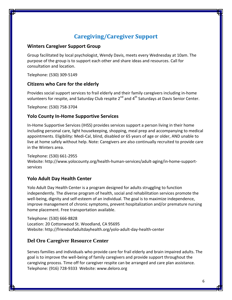# **Caregiving/Caregiver Support**

### **Winters Caregiver Support Group**

Group facilitated by local psychologist, Wendy Davis, meets every Wednesday at 10am. The purpose of the group is to support each other and share ideas and resources. Call for consultation and location.

Telephone: (530) 309‐5149

# **Citizens who Care for the elderly**

Provides social support services to frail elderly and their family caregivers including in‐home volunteers for respite, and Saturday Club respite 2<sup>nd</sup> and 4<sup>th</sup> Saturdays at Davis Senior Center.

Telephone: (530) 758‐3704

# **Yolo County In‐Home Supportive Services**

In‐Home Supportive Services (IHSS) provides services support a person living in their home including personal care, light housekeeping, shopping, meal prep and accompanying to medical appointments. Eligibility: Medi‐Cal, blind, disabled or 65 years of age or older, AND unable to live at home safely without help. Note: Caregivers are also continually recruited to provide care in the Winters area.

#### Telephone: (530) 661‐2955

Website: http://www.yolocounty.org/health-human-services/adult-aging/in-home-supportservices

# **Yolo Adult Day Health Center**

Yolo Adult Day Health Center is a program designed for adults struggling to function independently. The diverse program of health, social and rehabilitation services promote the well-being, dignity and self-esteem of an individual. The goal is to maximize independence, improve management of chronic symptoms, prevent hospitalization and/or premature nursing home placement. Free transportation available.

Telephone: (530) 666‐8828 Location: 20 Cottonwood St. Woodland, CA 95695 Website: http://friendsofadultdayhealth.org/yolo‐adult‐day‐health‐center

# **Del Oro Caregiver Resource Center**

Serves families and individuals who provide care for frail elderly and brain impaired adults. The goal is to improve the well‐being of family caregivers and provide support throughout the caregiving process. Time off for caregiver respite can be arranged and care plan assistance. Telephone: (916) 728‐9333 Website: www.deloro.org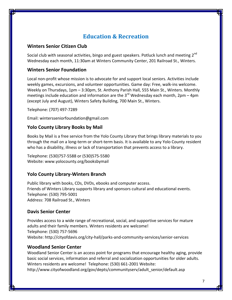# **Education & Recreation**

#### **Winters Senior Citizen Club**

Social club with seasonal activities, bingo and guest speakers. Potluck lunch and meeting 2<sup>nd</sup> Wednesday each month, 11:30am at Winters Community Center, 201 Railroad St., Winters.

#### **Winters Senior Foundation**

Local non‐profit whose mission is to advocate for and support local seniors. Activities include weekly games, excursions, and volunteer opportunities. Game day: Free, walk-ins welcome. Weekly on Thursdays, 1pm – 3:30pm, St. Anthony Parish Hall, 555 Main St., Winters. Monthly meetings include education and information are the  $3<sup>rd</sup>$  Wednesday each month, 2pm – 4pm (except July and August), Winters Safety Building, 700 Main St., Winters.

Telephone: (707) 497‐7289

Email: wintersseniorfoundation@gmail.com

#### **Yolo County Library Books by Mail**

Books by Mail is a free service from the Yolo County Library that brings library materials to you through the mail on a long‐term or short‐term basis. It is available to any Yolo County resident who has a disability, illness or lack of transportation that prevents access to a library.

Telephone: (530)757‐5588 or (530)575‐5580 Website: www.yolocounty.org/booksbymail

#### **Yolo County Library‐Winters Branch**

Public library with books, CDs, DVDs, ebooks and computer access. Friends of Winters Library supports library and sponsors cultural and educational events. Telephone: (530) 795‐5001 Address: 708 Railroad St., Winters

#### **Davis Senior Center**

Provides access to a wide range of recreational, social, and supportive services for mature adults and their family members. Winters residents are welcome! Telephone: (530) 757‐5696 Website: http://cityofdavis.org/city‐hall/parks‐and‐community‐services/senior‐services

#### **Woodland Senior Center**

Woodland Senior Center is an access point for programs that encourage healthy aging, provide basic social services, information and referral and socialization opportunities for older adults. Winters residents are welcome! Telephone: (530) 661‐2001 Website: http://www.cityofwoodland.org/gov/depts/communityserv/adult\_senior/default.asp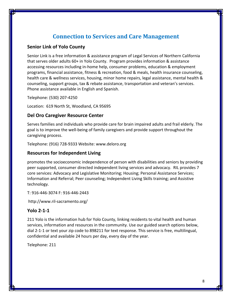# **Connection to Services and Care Management**

#### **Senior Link of Yolo County**

Senior Link is a free information & assistance program of Legal Services of Northern California that serves older adults 60+ in Yolo County. Program provides information & assistance accessing resources including in‐home help, consumer problems, education & employment programs, financial assistance, fitness & recreation, food & meals, health insurance counseling, health care & wellness services, housing, minor home repairs, legal assistance, mental health & counseling, support groups, tax & rebate assistance, transportation and veteran's services. Phone assistance available in English and Spanish.

Telephone: (530) 207‐4250

Location: 619 North St, Woodland, CA 95695

#### **Del Oro Caregiver Resource Center**

Serves families and individuals who provide care for brain impaired adults and frail elderly. The goal is to improve the well‐being of family caregivers and provide support throughout the caregiving process.

Telephone: (916) 728‐9333 Website: www.deloro.org

#### **Resources for Independent Living**

promotes the socioeconomic independence of person with disabilities and seniors by providing peer supported, consumer directed independent living services and advocacy. RIL provides 7 core services: Advocacy and Legislative Monitoring; Housing; Personal Assistance Services; Information and Referral; Peer counseling; Independent Living Skills training; and Assistive technology.

T: 916‐446‐3074 F: 916‐446‐2443

http://www.ril‐sacramento.org/

#### **Yolo 2‐1‐1**

211 Yolo is the information hub for Yolo County, linking residents to vital health and human services, information and resources in the community. Use our guided search options below, dial 2‐1‐1 or text your zip code to 898211 for text response. This service is free, multilingual, confidential and available 24 hours per day, every day of the year.

Telephone: 211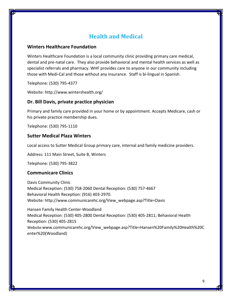# **Health and Medical**

#### **Winters Healthcare Foundation**

Winters Healthcare Foundation is a local community clinic providing primary care medical, dental and pre‐natal care. They also provide behavioral and mental health services as well as specialist referrals and pharmacy. WHF provides care to anyone in our community including those with Medi‐Cal and those without any insurance. Staff is bi‐lingual in Spanish.

Telephone: (530) 795‐4377

Website: http://www.wintershealth.org/

# **Dr. Bill Davis, private practice physician**

Primary and family care provided in your home or by appointment. Accepts Medicare, cash or his private practice membership dues.

Telephone: (530) 795‐1110

### **Sutter Medical Plaza Winters**

Local access to Sutter Medical Group primary care, internal and family medicine providers.

Address: 111 Main Street, Suite B, Winters

Telephone: (530) 795‐3822

#### **Communicare Clinics**

Davis Community Clinic Medical Reception: (530) 758‐2060 Dental Reception: (530) 757‐4667 Behavioral Health Reception: (916) 403‐2970. Website: http://www.communicarehc.org/View\_webpage.asp?Title=Davis

Hansen Family Health Center‐Woodland Medical Reception: (530) 405‐2800 Dental Reception: (530) 405‐2811; Behavioral Health Reception: (530) 405‐2815 Website:www.communicarehc.org/View\_webpage.asp?Title=Hansen%20Family%20Health%20C enter%20(Woodland)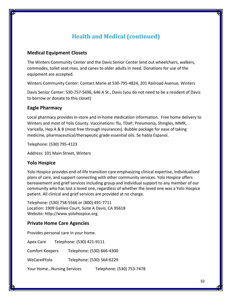# **Health and Medical (continued)**

#### **Medical Equipment Closets**

The Winters Community Center and the Davis Senior Center lend out wheelchairs, walkers, commodes, toilet seat rises, and canes to older adults in need. Donations for use of the equipment are accepted.

Winters Community Center: Contact Marie at 530‐795‐4824, 201 Railroad Avenue, Winters

Davis Senior Center: 530‐757‐5696, 646 A St., Davis (you do not need to be a resident of Davis to borrow or donate to this closet)

#### **Eagle Pharmacy**

Local pharmacy provides in‐store and in‐home medication information. Free home delivery to Winters and most of Yolo County. Vaccinations: flu, TDaP, Pneumonia, Shingles, MMR, Varicella, Hep A & B (most free through insurances). Bubble package for ease of taking medicine, pharmaceutical/therapeutic grade essential oils. Se habla Espanol.

Telephone: (530) 795‐4123

Address: 101 Main Street, Winters

#### **Yolo Hospice**

Yolo Hospice provides end‐of‐life transition care emphasizing clinical expertise, individualized plans of care, and support connecting with other community services. Yolo Hospice offers bereavement and grief services including group and individual support to any member of our community who has lost a loved one, regardless of whether the loved one was a Yolo Hospice patient. All clinical and grief services are provided at no charge.

Telephone: (530) 758‐5566 or (800) 491‐7711 Location: 1909 Galileo Court, Suite A Davis, CA 95618 Website: http://www.yolohospice.org

#### **Private Home Care Agencies**

Provides personal care in your home.

Apex Care Telephone: (530) 421‐9111

Comfort Keepers Telephone: (530) 666‐4300

WeCare4Yolo Telephone: (530) 564‐6229

Your Home…Nursing Services Telephone: (530) 753‐7478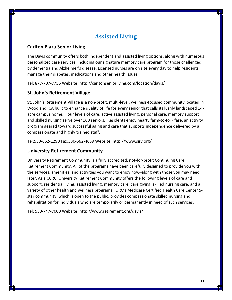# **Assisted Living**

### **Carlton Plaza Senior Living**

The Davis community offers both independent and assisted living options, along with numerous personalized care services, including our signature memory care program for those challenged by dementia and Alzheimer's disease. Licensed nurses are on site every day to help residents manage their diabetes, medications and other health issues.

Tel: 877‐707‐7756 Website: http://carltonseniorliving.com/location/davis/

# **St. John's Retirement Village**

St. John's Retirement Village is a non‐profit, multi‐level, wellness‐focused community located in Woodland, CA built to enhance quality of life for every senior that calls its lushly landscaped 14‐ acre campus home. Four levels of care, active assisted living, personal care, memory support and skilled nursing serve over 160 seniors. Residents enjoy hearty farm-to-fork fare, an activity program geared toward successful aging and care that supports independence delivered by a compassionate and highly trained staff.

Tel:530‐662‐1290 Fax:530‐662‐4639 Website: http://www.sjrv.org/

# **University Retirement Community**

University Retirement Community is a fully accredited, not‐for‐profit Continuing Care Retirement Community. All of the programs have been carefully designed to provide you with the services, amenities, and activities you want to enjoy now–along with those you may need later. As a CCRC, University Retirement Community offers the following levels of care and support: residential living, assisted living, memory care, care giving, skilled nursing care, and a variety of other health and wellness programs. URC's Medicare Certified Health Care Center 5‐ star community, which is open to the public, provides compassionate skilled nursing and rehabilitation for individuals who are temporarily or permanently in need of such services.

Tel: 530‐747‐7000 Website: http://www.retirement.org/davis/